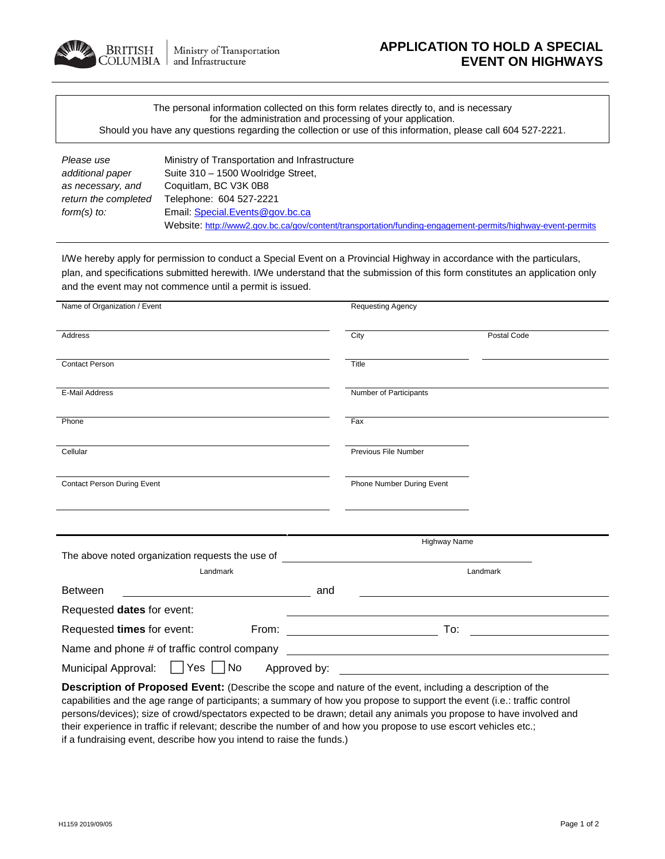

| The personal information collected on this form relates directly to, and is necessary                        |  |
|--------------------------------------------------------------------------------------------------------------|--|
| for the administration and processing of your application.                                                   |  |
| Should you have any questions regarding the collection or use of this information, please call 604 527-2221. |  |

| Please use           | Ministry of Transportation and Infrastructure                                                              |
|----------------------|------------------------------------------------------------------------------------------------------------|
| additional paper     | Suite 310 - 1500 Woolridge Street,                                                                         |
| as necessary, and    | Coquitlam, BC V3K 0B8                                                                                      |
| return the completed | Telephone: 604 527-2221                                                                                    |
| form(s) to:          | Email: Special. Events @gov.bc.ca                                                                          |
|                      | Website: http://www2.gov.bc.ca/gov/content/transportation/funding-engagement-permits/highway-event-permits |

I/We hereby apply for permission to conduct a Special Event on a Provincial Highway in accordance with the particulars, plan, and specifications submitted herewith. I/We understand that the submission of this form constitutes an application only and the event may not commence until a permit is issued.

**Description of Proposed Event:** (Describe the scope and nature of the event, including a description of the capabilities and the age range of participants; a summary of how you propose to support the event (i.e.: traffic control persons/devices); size of crowd/spectators expected to be drawn; detail any animals you propose to have involved and their experience in traffic if relevant; describe the number of and how you propose to use escort vehicles etc.; if a fundraising event, describe how you intend to raise the funds.)